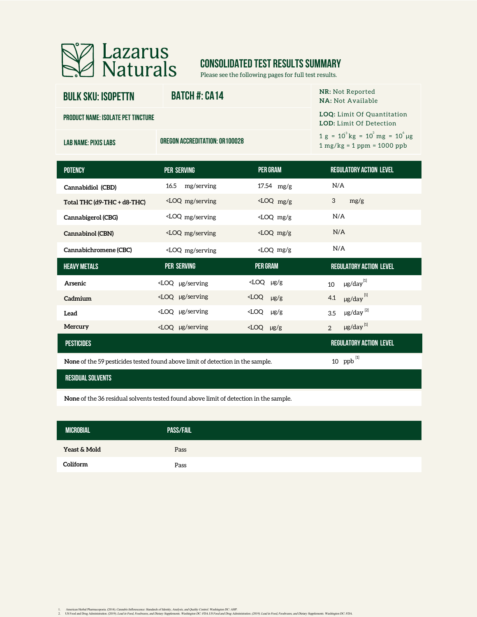

# **CONSOLIDATED TEST RESULTS SUMMARY**

Please see the following pages for full test results.

| <b>LOQ:</b> Limit Of Quantitation<br><b>PRODUCT NAME: ISOLATE PET TINCTURE</b><br><b>LOD:</b> Limit Of Detection<br>$1 g = 10^{3} kg = 10^{3} mg = 10^{6} \mu g$ |  |
|------------------------------------------------------------------------------------------------------------------------------------------------------------------|--|
|                                                                                                                                                                  |  |
| OREGON ACCREDITATION: 0R100028<br><b>LAB NAME: PIXIS LABS</b><br>$1 mg/kg = 1 ppm = 1000 ppb$                                                                    |  |
|                                                                                                                                                                  |  |

| <b>POTENCY</b>                                                                                                   | <b>PER SERVING</b>                                                                                                                                                    | <b>PER GRAM</b>        | <b>REGULATORY ACTION LEVEL</b>         |  |  |  |
|------------------------------------------------------------------------------------------------------------------|-----------------------------------------------------------------------------------------------------------------------------------------------------------------------|------------------------|----------------------------------------|--|--|--|
| Cannabidiol (CBD)                                                                                                | mg/serving<br>16.5                                                                                                                                                    | $17.54$ mg/g           | N/A                                    |  |  |  |
| Total THC (d9-THC + d8-THC)                                                                                      | <loq mg="" serving<="" td=""><td><math>\angle</math>LOQ mg/g</td><td>3<br/>mg/g</td></loq>                                                                            | $\angle$ LOQ mg/g      | 3<br>mg/g                              |  |  |  |
| Cannabigerol (CBG)                                                                                               | <loq mg="" serving<="" td=""><td><math>\angle</math>LOQ mg/g</td><td>N/A</td></loq>                                                                                   | $\angle$ LOQ mg/g      | N/A                                    |  |  |  |
| Cannabinol (CBN)                                                                                                 | <loq mg="" serving<="" td=""><td><math>&lt;</math>LOQ mg/g</td><td>N/A</td></loq>                                                                                     | $<$ LOQ mg/g           | N/A                                    |  |  |  |
| Cannabichromene (CBC)                                                                                            | <loq mg="" serving<="" td=""><td><math>\angle</math>LOQ mg/g</td><td>N/A</td></loq>                                                                                   | $\angle$ LOQ mg/g      | N/A                                    |  |  |  |
| <b>HEAVY METALS</b>                                                                                              | <b>PER SERVING</b>                                                                                                                                                    | <b>PER GRAM</b>        | <b>REGULATORY ACTION LEVEL</b>         |  |  |  |
| Arsenic                                                                                                          | $\angle$ LOQ µg/serving                                                                                                                                               | $\angle$ LOQ $\mu$ g/g | $\mu$ g/day $^{[1]}$<br>10             |  |  |  |
| Cadmium                                                                                                          | <loq serving<="" td="" µg=""><td><math>\angle</math>LOQ <math>\mu</math>g/g</td><td><math>\mu</math>g/day<math>^{[1]}</math><br/>4.1</td></loq>                       | $\angle$ LOQ $\mu$ g/g | $\mu$ g/day $^{[1]}$<br>4.1            |  |  |  |
| Lead                                                                                                             | <loq serving<="" td="" µg=""><td><math>\angle</math>LOQ <math>\mu</math>g/g</td><td><math>\mu</math>g/day<math>^{[2]}</math><br/>3.5</td></loq>                       | $\angle$ LOQ $\mu$ g/g | $\mu$ g/day $^{[2]}$<br>3.5            |  |  |  |
| Mercury                                                                                                          | <loq serving<="" td="" µg=""><td><math>\angle</math>LOQ <math>\mu</math>g/g</td><td><math>\mu</math>g/day<math>^{[1]}</math><br/><math>\overline{2}</math></td></loq> | $\angle$ LOQ $\mu$ g/g | $\mu$ g/day $^{[1]}$<br>$\overline{2}$ |  |  |  |
| <b>PESTICIDES</b>                                                                                                |                                                                                                                                                                       |                        | <b>REGULATORY ACTION LEVEL</b>         |  |  |  |
| 10 $ppb$ <sup>[1]</sup><br><b>None</b> of the 59 pesticides tested found above limit of detection in the sample. |                                                                                                                                                                       |                        |                                        |  |  |  |

**None** of the 59 pesticides tested found above limit of detection in the sample.

#### **residual solvents**

**None** of the 36 residual solvents tested found above limit of detection in the sample.

| <b>MICROBIAL</b> | <b>PASS/FAIL</b> |
|------------------|------------------|
| Yeast & Mold     | Pass             |
| Coliform         | Pass             |

1. American Herbal Pharmacopoeia. (2014). Cananki Inflorescaree: Standards of Identity. Analysia, and yeality. Contol. Washington DC: AHP.<br>2. US Food and Drug Administration, (2019). Lead in Food, Food, Face, Washington DC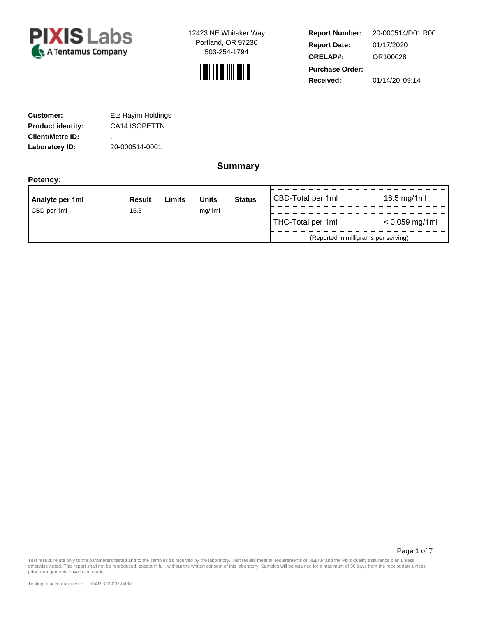



**Report Number: Report Date: ORELAP#:** 01/17/2020 OR100028 **Received:** 01/14/20 09:14 **Purchase Order:** 20-000514/D01.R00

| <b>Customer:</b>         | Etz Hayim Holdings |
|--------------------------|--------------------|
| <b>Product identity:</b> | CA14 ISOPETTN      |
| <b>Client/Metrc ID:</b>  | ٠                  |
| Laboratory ID:           | 20-000514-0001     |

### **Summary**

| Potency:        |               |        |              |               |                                      |                  |
|-----------------|---------------|--------|--------------|---------------|--------------------------------------|------------------|
| Analyte per 1ml | <b>Result</b> | Limits | <b>Units</b> | <b>Status</b> | CBD-Total per 1ml                    | 16.5 mg/1ml      |
| CBD per 1ml     | 16.5          |        | mg/1ml       |               | THC-Total per 1ml                    | $< 0.059$ mg/1ml |
|                 |               |        |              |               | (Reported in milligrams per serving) |                  |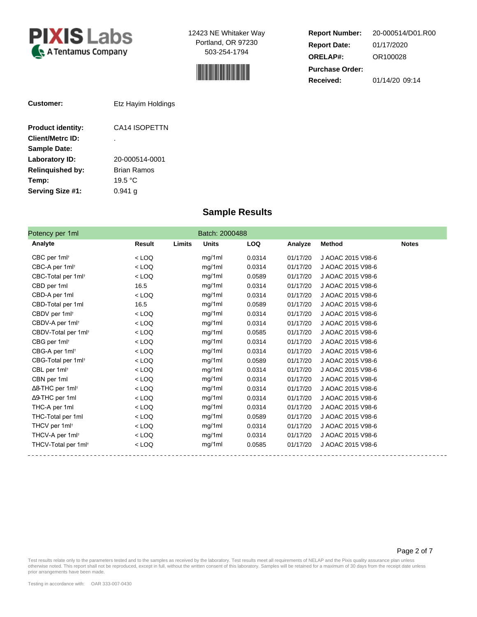



**Report Number: Report Date: ORELAP#:** 01/17/2020 OR100028 **Received:** 01/14/20 09:14 **Purchase Order:** 20-000514/D01.R00

| Customer:                | Etz Hayim Holdings |
|--------------------------|--------------------|
| <b>Product identity:</b> | CA14 ISOPETTN      |
| <b>Client/Metrc ID:</b>  | ٠                  |
| <b>Sample Date:</b>      |                    |
| Laboratory ID:           | 20-000514-0001     |
| <b>Relinguished by:</b>  | Brian Ramos        |
| Temp:                    | 19.5 $\degree$ C   |
| Serving Size #1:         | 0.941 a            |

### **Sample Results**

| Potency per 1ml                     |         |        | Batch: 2000488 |            |          |                   |              |
|-------------------------------------|---------|--------|----------------|------------|----------|-------------------|--------------|
| Analyte                             | Result  | Limits | <b>Units</b>   | <b>LOQ</b> | Analyze  | <b>Method</b>     | <b>Notes</b> |
| CBC per 1ml <sup>+</sup>            | $<$ LOQ |        | mg/1ml         | 0.0314     | 01/17/20 | J AOAC 2015 V98-6 |              |
| CBC-A per 1ml <sup>+</sup>          | $<$ LOQ |        | mg/1ml         | 0.0314     | 01/17/20 | J AOAC 2015 V98-6 |              |
| CBC-Total per 1ml <sup>+</sup>      | $<$ LOQ |        | mg/1ml         | 0.0589     | 01/17/20 | J AOAC 2015 V98-6 |              |
| CBD per 1ml                         | 16.5    |        | mg/1ml         | 0.0314     | 01/17/20 | J AOAC 2015 V98-6 |              |
| CBD-A per 1ml                       | $<$ LOQ |        | mg/1ml         | 0.0314     | 01/17/20 | J AOAC 2015 V98-6 |              |
| CBD-Total per 1ml                   | 16.5    |        | mg/1ml         | 0.0589     | 01/17/20 | J AOAC 2015 V98-6 |              |
| CBDV per 1ml <sup>+</sup>           | $<$ LOQ |        | mg/1ml         | 0.0314     | 01/17/20 | J AOAC 2015 V98-6 |              |
| CBDV-A per 1ml <sup>+</sup>         | $<$ LOQ |        | mg/1ml         | 0.0314     | 01/17/20 | J AOAC 2015 V98-6 |              |
| CBDV-Total per 1ml <sup>+</sup>     | $<$ LOQ |        | mg/1ml         | 0.0585     | 01/17/20 | J AOAC 2015 V98-6 |              |
| CBG per 1ml <sup>+</sup>            | $<$ LOQ |        | mg/1ml         | 0.0314     | 01/17/20 | J AOAC 2015 V98-6 |              |
| CBG-A per 1ml <sup>+</sup>          | $<$ LOQ |        | mg/1ml         | 0.0314     | 01/17/20 | J AOAC 2015 V98-6 |              |
| CBG-Total per 1ml <sup>+</sup>      | $<$ LOQ |        | mg/1ml         | 0.0589     | 01/17/20 | J AOAC 2015 V98-6 |              |
| CBL per 1ml <sup>+</sup>            | $<$ LOQ |        | mg/1ml         | 0.0314     | 01/17/20 | J AOAC 2015 V98-6 |              |
| CBN per 1ml                         | $<$ LOQ |        | mg/1ml         | 0.0314     | 01/17/20 | J AOAC 2015 V98-6 |              |
| $\Delta$ 8-THC per 1ml <sup>+</sup> | $<$ LOQ |        | mg/1ml         | 0.0314     | 01/17/20 | J AOAC 2015 V98-6 |              |
| $\Delta$ 9-THC per 1ml              | $<$ LOQ |        | mg/1ml         | 0.0314     | 01/17/20 | J AOAC 2015 V98-6 |              |
| THC-A per 1ml                       | $<$ LOQ |        | mg/1ml         | 0.0314     | 01/17/20 | J AOAC 2015 V98-6 |              |
| THC-Total per 1ml                   | $<$ LOQ |        | mg/1ml         | 0.0589     | 01/17/20 | J AOAC 2015 V98-6 |              |
| THCV per 1ml <sup>+</sup>           | $<$ LOQ |        | mg/1ml         | 0.0314     | 01/17/20 | J AOAC 2015 V98-6 |              |
| THCV-A per 1ml <sup>+</sup>         | $<$ LOQ |        | mg/1ml         | 0.0314     | 01/17/20 | J AOAC 2015 V98-6 |              |
| THCV-Total per 1ml <sup>+</sup>     | $<$ LOQ |        | mg/1ml         | 0.0585     | 01/17/20 | J AOAC 2015 V98-6 |              |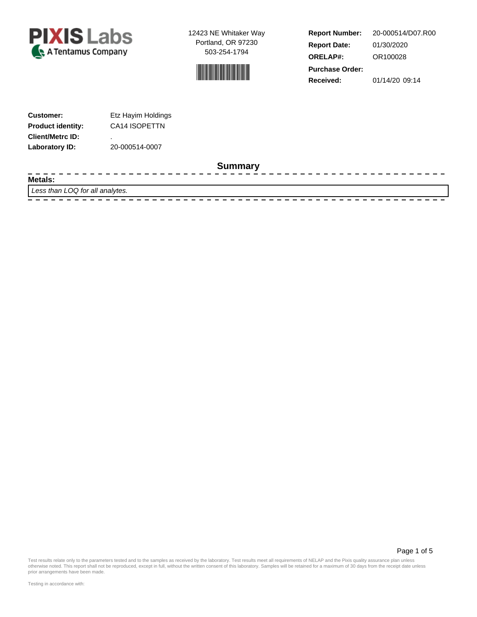



**Report Number: Report Date: ORELAP#:** 01/30/2020 OR100028 **Received:** 01/14/20 09:14 **Purchase Order:** 20-000514/D07.R00

--------------

Page 1 of 5

| <b>Customer:</b>         | Etz Hayim Holdings |
|--------------------------|--------------------|
| <b>Product identity:</b> | CA14 ISOPETTN      |
| <b>Client/Metrc ID:</b>  | ٠                  |
| Laboratory ID:           | 20-000514-0007     |

#### **Summary**

**Metals:**

- - - -

Less than LOQ for all analytes.

 $- - - - - - - -$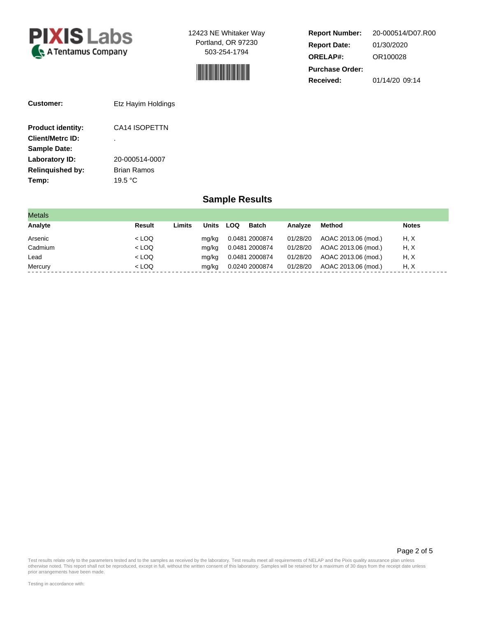



**Report Number: Report Date: ORELAP#:** 01/30/2020 OR100028 **Received:** 01/14/20 09:14 **Purchase Order:** 20-000514/D07.R00

| <b>Customer:</b>         | Etz Hayim Holdings |
|--------------------------|--------------------|
| <b>Product identity:</b> | CA14 ISOPETTN      |
| <b>Client/Metrc ID:</b>  |                    |
| <b>Sample Date:</b>      |                    |
| Laboratory ID:           | 20-000514-0007     |
| <b>Relinguished by:</b>  | <b>Brian Ramos</b> |
| Temp:                    | 19.5 °C            |

### **Sample Results**

| <b>Metals</b> |         |        |       |     |                |          |                     |              |
|---------------|---------|--------|-------|-----|----------------|----------|---------------------|--------------|
| Analyte       | Result  | Limits | Units | LOQ | <b>Batch</b>   | Analyze  | Method              | <b>Notes</b> |
| Arsenic       | $<$ LOQ |        | ma/ka |     | 0.0481 2000874 | 01/28/20 | AOAC 2013.06 (mod.) | H, X         |
| Cadmium       | $<$ LOQ |        | mg/kg |     | 0.0481 2000874 | 01/28/20 | AOAC 2013.06 (mod.) | H, X         |
| Lead          | $<$ LOQ |        | mg/kg |     | 0.0481 2000874 | 01/28/20 | AOAC 2013.06 (mod.) | H, X         |
| Mercury       | $<$ LOQ |        | mg/kg |     | 0.0240 2000874 | 01/28/20 | AOAC 2013.06 (mod.) | H, X         |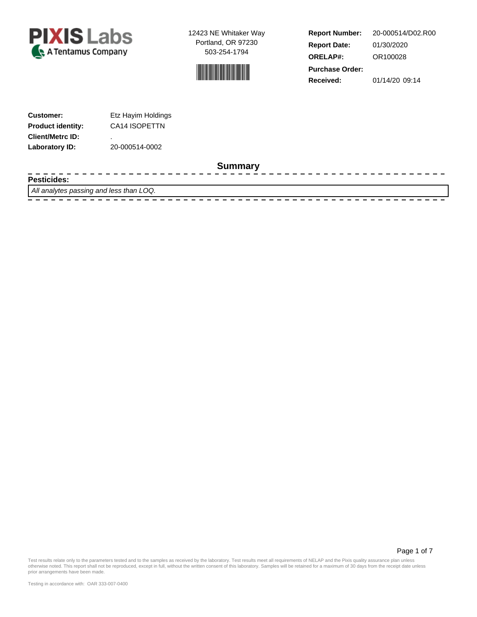



**Report Number: Report Date: ORELAP#:** 01/30/2020 OR100028 **Received:** 01/14/20 09:14 **Purchase Order:** 20-000514/D02.R00

---------------

| <b>Customer:</b>         | Etz Hayim Holdings |
|--------------------------|--------------------|
| <b>Product identity:</b> | CA14 ISOPETTN      |
| <b>Client/Metrc ID:</b>  | ٠                  |
| Laboratory ID:           | 20-000514-0002     |

#### **Summary**

**Pesticides:**

 $\frac{1}{2}$ 

All analytes passing and less than LOQ.

 $- - - - - - -$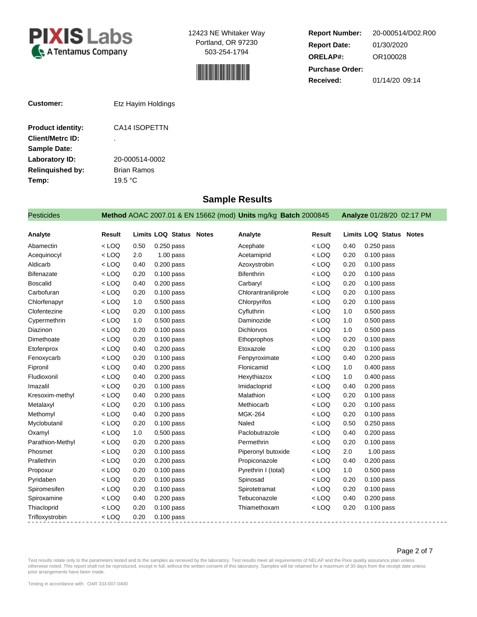



**Report Number: Report Date: ORELAP#:** 01/30/2020 OR100028 **Received:** 01/14/20 09:14 **Purchase Order:** 20-000514/D02.R00

| <b>Customer:</b>         | Etz Hayim Holdings |  |  |  |
|--------------------------|--------------------|--|--|--|
| <b>Product identity:</b> | CA14 ISOPETTN      |  |  |  |
| <b>Client/Metrc ID:</b>  | ٠                  |  |  |  |
| <b>Sample Date:</b>      |                    |  |  |  |
| Laboratory ID:           | 20-000514-0002     |  |  |  |
| <b>Relinguished by:</b>  | Brian Ramos        |  |  |  |
| Temp:                    | 19.5 °C            |  |  |  |

### **Sample Results**

| <b>Pesticides</b> |               |      |                                | Method AOAC 2007.01 & EN 15662 (mod) Units mg/kg Batch 2000845 |         |      | Analyze 01/28/20 02:17 PM      |
|-------------------|---------------|------|--------------------------------|----------------------------------------------------------------|---------|------|--------------------------------|
| Analyte           | <b>Result</b> |      | <b>Limits LOQ Status Notes</b> | Analyte                                                        | Result  |      | <b>Limits LOQ Status Notes</b> |
| Abamectin         | $<$ LOQ       | 0.50 | 0.250 pass                     | Acephate                                                       | $<$ LOQ | 0.40 | $0.250$ pass                   |
| Acequinocyl       | $<$ LOQ       | 2.0  | $1.00$ pass                    | Acetamiprid                                                    | $<$ LOQ | 0.20 | $0.100$ pass                   |
| Aldicarb          | $<$ LOQ       | 0.40 | $0.200$ pass                   | Azoxystrobin                                                   | $<$ LOQ | 0.20 | $0.100$ pass                   |
| <b>Bifenazate</b> | $<$ LOQ       | 0.20 | 0.100 pass                     | <b>Bifenthrin</b>                                              | $<$ LOQ | 0.20 | $0.100$ pass                   |
| <b>Boscalid</b>   | $<$ LOQ       | 0.40 | $0.200$ pass                   | Carbaryl                                                       | $<$ LOQ | 0.20 | $0.100$ pass                   |
| Carbofuran        | $<$ LOQ       | 0.20 | $0.100$ pass                   | Chlorantraniliprole                                            | $<$ LOQ | 0.20 | $0.100$ pass                   |
| Chlorfenapyr      | $<$ LOQ       | 1.0  | $0.500$ pass                   | Chlorpyrifos                                                   | $<$ LOQ | 0.20 | $0.100$ pass                   |
| Clofentezine      | $<$ LOQ       | 0.20 | $0.100$ pass                   | Cyfluthrin                                                     | $<$ LOQ | 1.0  | 0.500 pass                     |
| Cypermethrin      | $<$ LOQ       | 1.0  | $0.500$ pass                   | Daminozide                                                     | $<$ LOQ | 1.0  | $0.500$ pass                   |
| Diazinon          | $<$ LOQ       | 0.20 | 0.100 pass                     | Dichlorvos                                                     | $<$ LOQ | 1.0  | $0.500$ pass                   |
| Dimethoate        | $<$ LOQ       | 0.20 | $0.100$ pass                   | Ethoprophos                                                    | $<$ LOQ | 0.20 | $0.100$ pass                   |
| Etofenprox        | $<$ LOQ       | 0.40 | $0.200$ pass                   | Etoxazole                                                      | $<$ LOQ | 0.20 | $0.100$ pass                   |
| Fenoxycarb        | $<$ LOQ       | 0.20 | $0.100$ pass                   | Fenpyroximate                                                  | $<$ LOQ | 0.40 | $0.200$ pass                   |
| Fipronil          | $<$ LOQ       | 0.40 | $0.200$ pass                   | Flonicamid                                                     | $<$ LOQ | 1.0  | 0.400 pass                     |
| Fludioxonil       | $<$ LOQ       | 0.40 | $0.200$ pass                   | Hexythiazox                                                    | $<$ LOQ | 1.0  | $0.400$ pass                   |
| Imazalil          | $<$ LOQ       | 0.20 | $0.100$ pass                   | Imidacloprid                                                   | $<$ LOQ | 0.40 | $0.200$ pass                   |
| Kresoxim-methyl   | $<$ LOQ       | 0.40 | $0.200$ pass                   | Malathion                                                      | $<$ LOQ | 0.20 | $0.100$ pass                   |
| Metalaxyl         | $<$ LOQ       | 0.20 | $0.100$ pass                   | Methiocarb                                                     | $<$ LOQ | 0.20 | $0.100$ pass                   |
| Methomyl          | $<$ LOQ       | 0.40 | 0.200 pass                     | <b>MGK-264</b>                                                 | $<$ LOQ | 0.20 | $0.100$ pass                   |
| Myclobutanil      | $<$ LOQ       | 0.20 | $0.100$ pass                   | Naled                                                          | $<$ LOQ | 0.50 | $0.250$ pass                   |
| Oxamyl            | $<$ LOQ       | 1.0  | $0.500$ pass                   | Paclobutrazole                                                 | $<$ LOQ | 0.40 | $0.200$ pass                   |
| Parathion-Methyl  | $<$ LOQ       | 0.20 | $0.200$ pass                   | Permethrin                                                     | $<$ LOQ | 0.20 | $0.100$ pass                   |
| Phosmet           | $<$ LOQ       | 0.20 | $0.100$ pass                   | Piperonyl butoxide                                             | $<$ LOQ | 2.0  | $1.00$ pass                    |
| Prallethrin       | $<$ LOQ       | 0.20 | $0.200$ pass                   | Propiconazole                                                  | $<$ LOQ | 0.40 | $0.200$ pass                   |
| Propoxur          | $<$ LOQ       | 0.20 | $0.100$ pass                   | Pyrethrin I (total)                                            | $<$ LOQ | 1.0  | $0.500$ pass                   |
| Pyridaben         | $<$ LOQ       | 0.20 | $0.100$ pass                   | Spinosad                                                       | $<$ LOQ | 0.20 | $0.100$ pass                   |
| Spiromesifen      | $<$ LOQ       | 0.20 | $0.100$ pass                   | Spirotetramat                                                  | $<$ LOQ | 0.20 | $0.100$ pass                   |
| Spiroxamine       | $<$ LOQ       | 0.40 | $0.200$ pass                   | Tebuconazole                                                   | $<$ LOQ | 0.40 | $0.200$ pass                   |
| Thiacloprid       | $<$ LOQ       | 0.20 | $0.100$ pass                   | Thiamethoxam                                                   | $<$ LOQ | 0.20 | $0.100$ pass                   |
| Trifloxystrobin   | $<$ LOQ       | 0.20 | 0.100 pass                     |                                                                |         |      |                                |

Page 2 of 7

 $\frac{1}{2}$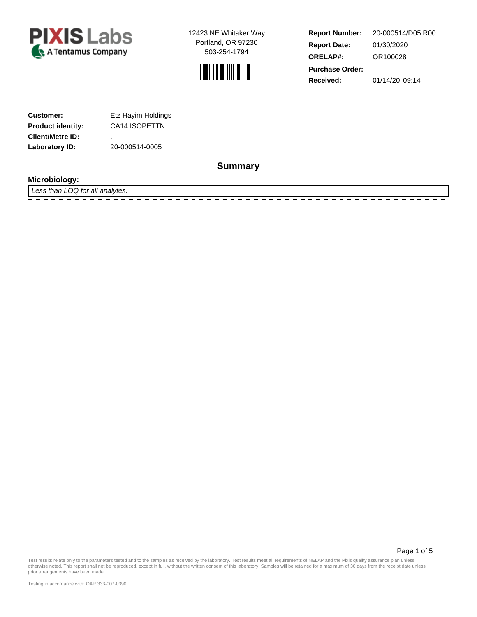



**Report Number: Report Date: ORELAP#:** 01/30/2020 OR100028 **Received:** 01/14/20 09:14 **Purchase Order:** 20-000514/D05.R00

-------------

| <b>Customer:</b>         | Etz Hayim Holdings |
|--------------------------|--------------------|
| <b>Product identity:</b> | CA14 ISOPETTN      |
| <b>Client/Metrc ID:</b>  | ٠                  |
| Laboratory ID:           | 20-000514-0005     |

 $\frac{1}{2} \frac{1}{2} \frac{1}{2} \frac{1}{2} \frac{1}{2} \frac{1}{2} \frac{1}{2} \frac{1}{2} \frac{1}{2} \frac{1}{2} \frac{1}{2} \frac{1}{2} \frac{1}{2} \frac{1}{2} \frac{1}{2} \frac{1}{2} \frac{1}{2} \frac{1}{2} \frac{1}{2} \frac{1}{2} \frac{1}{2} \frac{1}{2} \frac{1}{2} \frac{1}{2} \frac{1}{2} \frac{1}{2} \frac{1}{2} \frac{1}{2} \frac{1}{2} \frac{1}{2} \frac{1}{2} \frac{$ 

#### **Summary**

**Microbiology:**

Less than LOQ for all analytes. 

- - - -

Page 1 of 5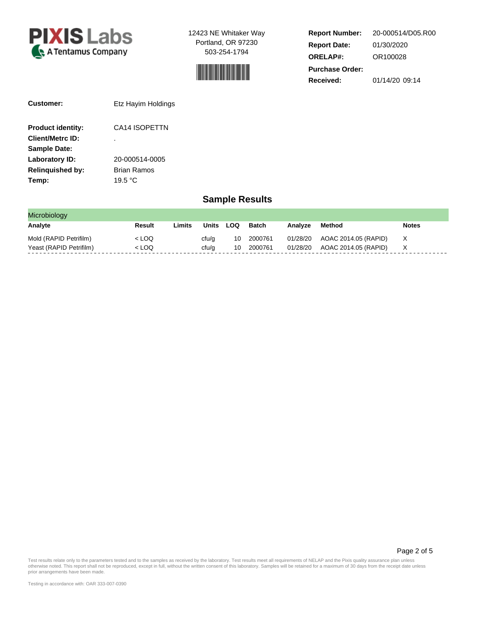



**Report Number: Report Date: ORELAP#:** 01/30/2020 OR100028 **Received:** 01/14/20 09:14 **Purchase Order:** 20-000514/D05.R00

| Customer:                | Etz Hayim Holdings        |
|--------------------------|---------------------------|
| <b>Product identity:</b> | CA14 ISOPETTN             |
| <b>Client/Metrc ID:</b>  | ٠                         |
| <b>Sample Date:</b>      |                           |
| Laboratory ID:           | 20-000514-0005            |
| <b>Relinguished by:</b>  | Brian Ramos               |
| Temp:                    | 19.5 $\mathrm{^{\circ}C}$ |

## **Sample Results**

| Microbiology            |        |        |       |     |         |          |                      |              |
|-------------------------|--------|--------|-------|-----|---------|----------|----------------------|--------------|
| Analyte                 | Result | ∟imits | Units | LOQ | Batch   | Analvze  | Method               | <b>Notes</b> |
| Mold (RAPID Petrifilm)  | < LOQ  |        | cfu/g | 10  | 2000761 | 01/28/20 | AOAC 2014.05 (RAPID) | X            |
| Yeast (RAPID Petrifilm) | < LOQ  |        | cfu/a | 10  | 2000761 | 01/28/20 | AOAC 2014.05 (RAPID) |              |

Page 2 of 5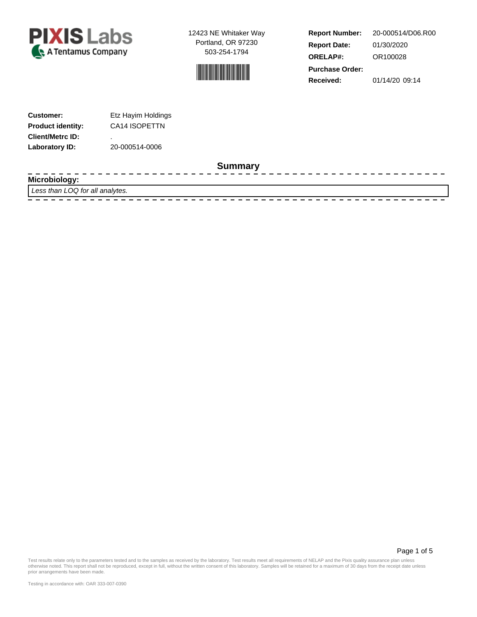



**Report Number: Report Date: ORELAP#:** 01/30/2020 OR100028 **Received:** 01/14/20 09:14 **Purchase Order:** 20-000514/D06.R00

-------------

| <b>Customer:</b>         | Etz Hayim Holdings |
|--------------------------|--------------------|
| <b>Product identity:</b> | CA14 ISOPETTN      |
| <b>Client/Metrc ID:</b>  | ٠                  |
| Laboratory ID:           | 20-000514-0006     |

 $\frac{1}{2}$ 

#### **Summary**

**Microbiology:**

Less than LOQ for all analytes. 

- - - -

Page 1 of 5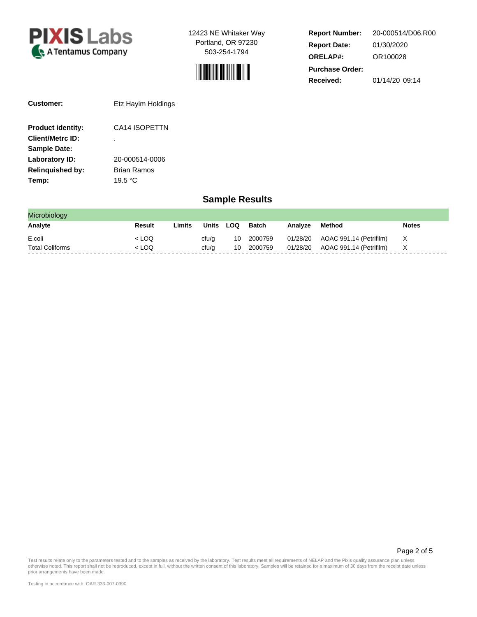



**Report Number: Report Date: ORELAP#:** 01/30/2020 OR100028 **Received:** 01/14/20 09:14 **Purchase Order:** 20-000514/D06.R00

| Customer:                | Etz Hayim Holdings |
|--------------------------|--------------------|
| <b>Product identity:</b> | CA14 ISOPETTN      |
| <b>Client/Metrc ID:</b>  | ٠                  |
| <b>Sample Date:</b>      |                    |
| Laboratory ID:           | 20-000514-0006     |
| <b>Relinguished by:</b>  | Brian Ramos        |
| Temp:                    | 19.5 °C            |

### **Sample Results**

| Microbiology           |         |        |           |    |            |         |                                  |              |
|------------------------|---------|--------|-----------|----|------------|---------|----------------------------------|--------------|
| Analyte                | Result  | Limits | Units LOQ |    | Batch      | Analvze | Method                           | <b>Notes</b> |
| E.coli                 | $<$ LOQ |        | cfu/a     |    | 10 2000759 |         | 01/28/20 AOAC 991.14 (Petrifilm) | $\mathsf{X}$ |
| <b>Total Coliforms</b> | $<$ LOQ |        | cfu/a     | 10 | 2000759    |         | 01/28/20 AOAC 991.14 (Petrifilm) | $\mathsf{X}$ |

Page 2 of 5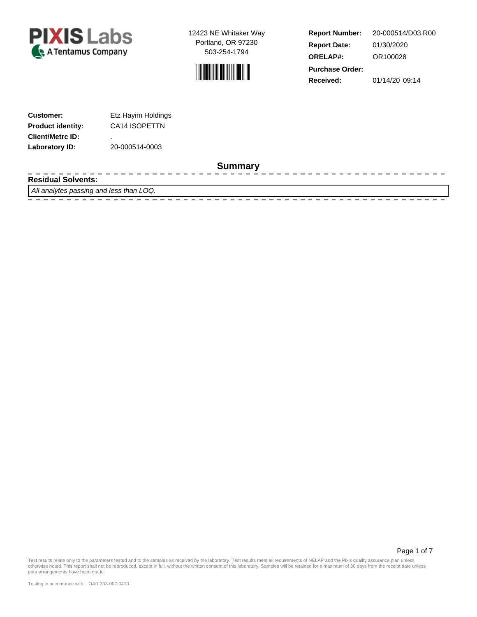



**Report Number: Report Date: ORELAP#:** 01/30/2020 OR100028 **Received:** 01/14/20 09:14 **Purchase Order:** 20-000514/D03.R00

------------------

| <b>Customer:</b>         | Etz Hayim Holdings |
|--------------------------|--------------------|
| <b>Product identity:</b> | CA14 ISOPETTN      |
| <b>Client/Metrc ID:</b>  | ٠                  |
| Laboratory ID:           | 20-000514-0003     |

 $- - - - -$ 

### **Summary**

**Residual Solvents:**

All analytes passing and less than LOQ.

- - - - -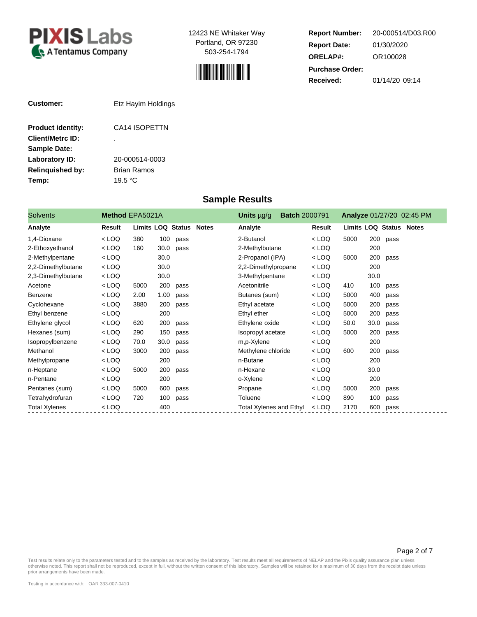



**Report Number: Report Date: ORELAP#:** 01/30/2020 OR100028 **Received:** 01/14/20 09:14 **Purchase Order:** 20-000514/D03.R00

| Customer:                | Etz Hayim Holdings        |
|--------------------------|---------------------------|
| <b>Product identity:</b> | CA14 ISOPETTN             |
| <b>Client/Metrc ID:</b>  | ٠                         |
| <b>Sample Date:</b>      |                           |
| Laboratory ID:           | 20-000514-0003            |
| <b>Relinquished by:</b>  | Brian Ramos               |
| Temp:                    | 19.5 $\mathrm{^{\circ}C}$ |

**Sample Results**

| <b>Solvents</b>      | Method EPA5021A |      |      |                         | Units $\mu$ g/g                | <b>Batch 2000791</b> |         |                                |      |      | Analyze 01/27/20 02:45 PM |
|----------------------|-----------------|------|------|-------------------------|--------------------------------|----------------------|---------|--------------------------------|------|------|---------------------------|
| Analyte              | <b>Result</b>   |      |      | Limits LOQ Status Notes | Analyte                        |                      | Result  | <b>Limits LOQ Status Notes</b> |      |      |                           |
| 1,4-Dioxane          | $<$ LOQ         | 380  | 100  | pass                    | 2-Butanol                      |                      | $<$ LOQ | 5000                           | 200  | pass |                           |
| 2-Ethoxyethanol      | $<$ LOQ         | 160  | 30.0 | pass                    | 2-Methylbutane                 |                      | $<$ LOQ |                                | 200  |      |                           |
| 2-Methylpentane      | $<$ LOQ         |      | 30.0 |                         | 2-Propanol (IPA)               |                      | $<$ LOQ | 5000                           | 200  | pass |                           |
| 2,2-Dimethylbutane   | $<$ LOQ         |      | 30.0 |                         | 2,2-Dimethylpropane            |                      | $<$ LOQ |                                | 200  |      |                           |
| 2,3-Dimethylbutane   | $<$ LOQ         |      | 30.0 |                         | 3-Methylpentane                |                      | $<$ LOQ |                                | 30.0 |      |                           |
| Acetone              | $<$ LOQ         | 5000 | 200  | pass                    | Acetonitrile                   |                      | $<$ LOQ | 410                            | 100  | pass |                           |
| Benzene              | $<$ LOQ         | 2.00 | 1.00 | pass                    | Butanes (sum)                  |                      | $<$ LOQ | 5000                           | 400  | pass |                           |
| Cyclohexane          | $<$ LOQ         | 3880 | 200  | pass                    | Ethyl acetate                  |                      | $<$ LOQ | 5000                           | 200  | pass |                           |
| Ethyl benzene        | $<$ LOQ         |      | 200  |                         | Ethyl ether                    |                      | $<$ LOQ | 5000                           | 200  | pass |                           |
| Ethylene glycol      | $<$ LOQ         | 620  | 200  | pass                    | Ethylene oxide                 |                      | < LOQ   | 50.0                           | 30.0 | pass |                           |
| Hexanes (sum)        | $<$ LOQ         | 290  | 150  | pass                    | Isopropyl acetate              |                      | $<$ LOQ | 5000                           | 200  | pass |                           |
| Isopropylbenzene     | $<$ LOQ         | 70.0 | 30.0 | pass                    | m,p-Xylene                     |                      | $<$ LOQ |                                | 200  |      |                           |
| Methanol             | $<$ LOQ         | 3000 | 200  | pass                    | Methylene chloride             |                      | $<$ LOQ | 600                            | 200  | pass |                           |
| Methylpropane        | $<$ LOQ         |      | 200  |                         | n-Butane                       |                      | $<$ LOQ |                                | 200  |      |                           |
| n-Heptane            | $<$ LOQ         | 5000 | 200  | pass                    | n-Hexane                       |                      | $<$ LOQ |                                | 30.0 |      |                           |
| n-Pentane            | $<$ LOQ         |      | 200  |                         | o-Xylene                       |                      | $<$ LOQ |                                | 200  |      |                           |
| Pentanes (sum)       | $<$ LOQ         | 5000 | 600  | pass                    | Propane                        |                      | $<$ LOQ | 5000                           | 200  | pass |                           |
| Tetrahydrofuran      | $<$ LOQ         | 720  | 100  | pass                    | Toluene                        |                      | $<$ LOQ | 890                            | 100  | pass |                           |
| <b>Total Xylenes</b> | < LOQ           |      | 400  |                         | <b>Total Xylenes and Ethyl</b> |                      | $<$ LOQ | 2170                           | 600  | pass |                           |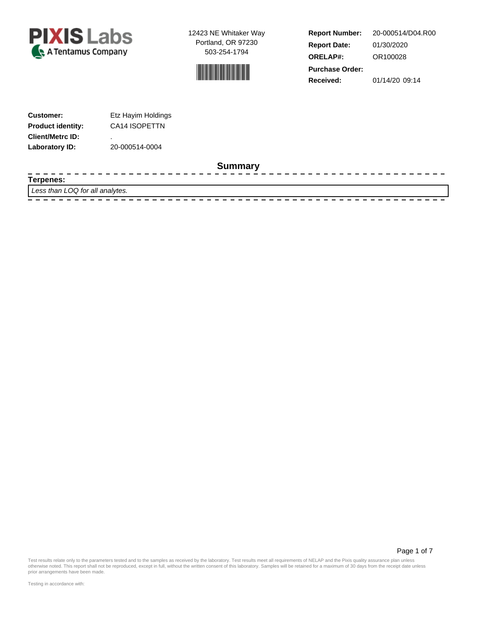



**Report Number: Report Date: ORELAP#:** 01/30/2020 OR100028 **Received:** 01/14/20 09:14 **Purchase Order:** 20-000514/D04.R00

--------------

| <b>Customer:</b>         | Etz Hayim Holdings |
|--------------------------|--------------------|
| <b>Product identity:</b> | CA14 ISOPETTN      |
| <b>Client/Metrc ID:</b>  | ٠                  |
| Laboratory ID:           | 20-000514-0004     |

 $\frac{1}{2}$ 

#### **Summary**

**Terpenes:**

----

Less than LOQ for all analytes.

Page 1 of 7